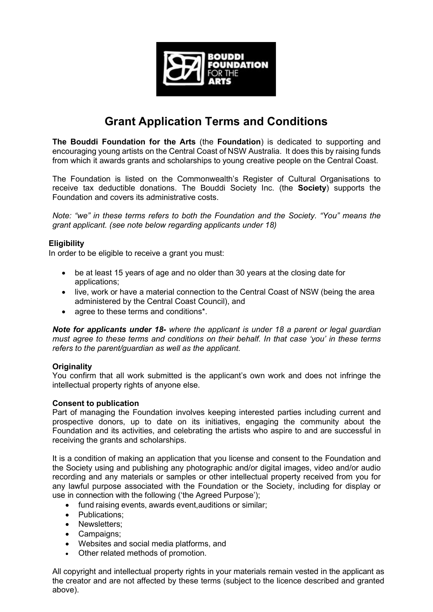

# Grant Application Terms and Conditions

The Bouddi Foundation for the Arts (the Foundation) is dedicated to supporting and encouraging young artists on the Central Coast of NSW Australia. It does this by raising funds from which it awards grants and scholarships to young creative people on the Central Coast.

The Foundation is listed on the Commonwealth's Register of Cultural Organisations to receive tax deductible donations. The Bouddi Society Inc. (the Society) supports the Foundation and covers its administrative costs.

Note: "we" in these terms refers to both the Foundation and the Society. "You" means the grant applicant. (see note below regarding applicants under 18)

# **Eligibility**

In order to be eligible to receive a grant you must:

- be at least 15 years of age and no older than 30 years at the closing date for applications;
- live, work or have a material connection to the Central Coast of NSW (being the area administered by the Central Coast Council), and
- agree to these terms and conditions\*.

Note for applicants under 18- where the applicant is under 18 a parent or legal guardian must agree to these terms and conditions on their behalf. In that case 'you' in these terms refers to the parent/guardian as well as the applicant.

# **Originality**

You confirm that all work submitted is the applicant's own work and does not infringe the intellectual property rights of anyone else.

#### Consent to publication

Part of managing the Foundation involves keeping interested parties including current and prospective donors, up to date on its initiatives, engaging the community about the Foundation and its activities, and celebrating the artists who aspire to and are successful in receiving the grants and scholarships.

It is a condition of making an application that you license and consent to the Foundation and the Society using and publishing any photographic and/or digital images, video and/or audio recording and any materials or samples or other intellectual property received from you for any lawful purpose associated with the Foundation or the Society, including for display or use in connection with the following ('the Agreed Purpose');

- fund raising events, awards event, auditions or similar;
- Publications:
- Newsletters:
- Campaigns;
- Websites and social media platforms, and
- Other related methods of promotion.

All copyright and intellectual property rights in your materials remain vested in the applicant as the creator and are not affected by these terms (subject to the licence described and granted above).